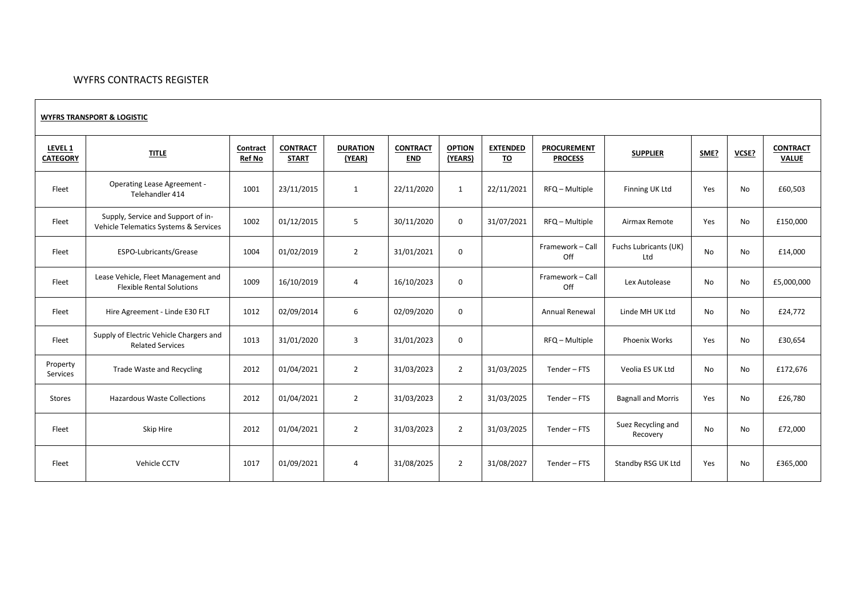## WYFRS CONTRACTS REGISTER

## **WYFRS TRANSPORT & LOGISTIC**

| <b>LEVEL 1</b><br><b>CATEGORY</b> | <b>TITLE</b>                                                                | Contract<br><b>Ref No</b> | <b>CONTRACT</b><br><b>START</b> | <b>DURATION</b><br>(YEAR) | <b>CONTRACT</b><br><b>END</b> | <b>OPTION</b><br>(YEARS) | <b>EXTENDED</b><br><u>TO</u> | <b>PROCUREMENT</b><br><b>PROCESS</b> | <b>SUPPLIER</b>                | SME?      | VCSE? | <b>CONTRACT</b><br><b>VALUE</b> |
|-----------------------------------|-----------------------------------------------------------------------------|---------------------------|---------------------------------|---------------------------|-------------------------------|--------------------------|------------------------------|--------------------------------------|--------------------------------|-----------|-------|---------------------------------|
| Fleet                             | <b>Operating Lease Agreement -</b><br>Telehandler 414                       | 1001                      | 23/11/2015                      | $\mathbf{1}$              | 22/11/2020                    | 1                        | 22/11/2021                   | RFQ - Multiple                       | Finning UK Ltd                 | Yes       | No    | £60,503                         |
| Fleet                             | Supply, Service and Support of in-<br>Vehicle Telematics Systems & Services | 1002                      | 01/12/2015                      | 5                         | 30/11/2020                    | $\mathbf 0$              | 31/07/2021                   | RFQ - Multiple                       | Airmax Remote                  | Yes       | No    | £150,000                        |
| Fleet                             | ESPO-Lubricants/Grease                                                      | 1004                      | 01/02/2019                      | $\overline{2}$            | 31/01/2021                    | $\mathbf 0$              |                              | Framework - Call<br>Off              | Fuchs Lubricants (UK)<br>Ltd   | <b>No</b> | No    | £14,000                         |
| Fleet                             | Lease Vehicle, Fleet Management and<br><b>Flexible Rental Solutions</b>     | 1009                      | 16/10/2019                      | $\overline{4}$            | 16/10/2023                    | $\mathbf 0$              |                              | Framework - Call<br>Off              | Lex Autolease                  | No        | No    | £5,000,000                      |
| Fleet                             | Hire Agreement - Linde E30 FLT                                              | 1012                      | 02/09/2014                      | 6                         | 02/09/2020                    | $\mathbf 0$              |                              | Annual Renewal                       | Linde MH UK Ltd                | <b>No</b> | No    | £24,772                         |
| Fleet                             | Supply of Electric Vehicle Chargers and<br><b>Related Services</b>          | 1013                      | 31/01/2020                      | 3                         | 31/01/2023                    | $\mathbf 0$              |                              | RFQ - Multiple                       | <b>Phoenix Works</b>           | Yes       | No    | £30,654                         |
| Property<br>Services              | Trade Waste and Recycling                                                   | 2012                      | 01/04/2021                      | $\overline{2}$            | 31/03/2023                    | $\overline{2}$           | 31/03/2025                   | Tender-FTS                           | Veolia ES UK Ltd               | <b>No</b> | No    | £172,676                        |
| Stores                            | <b>Hazardous Waste Collections</b>                                          | 2012                      | 01/04/2021                      | $\overline{2}$            | 31/03/2023                    | $\overline{2}$           | 31/03/2025                   | Tender-FTS                           | <b>Bagnall and Morris</b>      | Yes       | No    | £26,780                         |
| Fleet                             | Skip Hire                                                                   | 2012                      | 01/04/2021                      | $\overline{2}$            | 31/03/2023                    | $\overline{2}$           | 31/03/2025                   | Tender - FTS                         | Suez Recycling and<br>Recovery | No        | No    | £72,000                         |
| Fleet                             | Vehicle CCTV                                                                | 1017                      | 01/09/2021                      | 4                         | 31/08/2025                    | $\overline{2}$           | 31/08/2027                   | Tender - FTS                         | Standby RSG UK Ltd             | Yes       | No    | £365,000                        |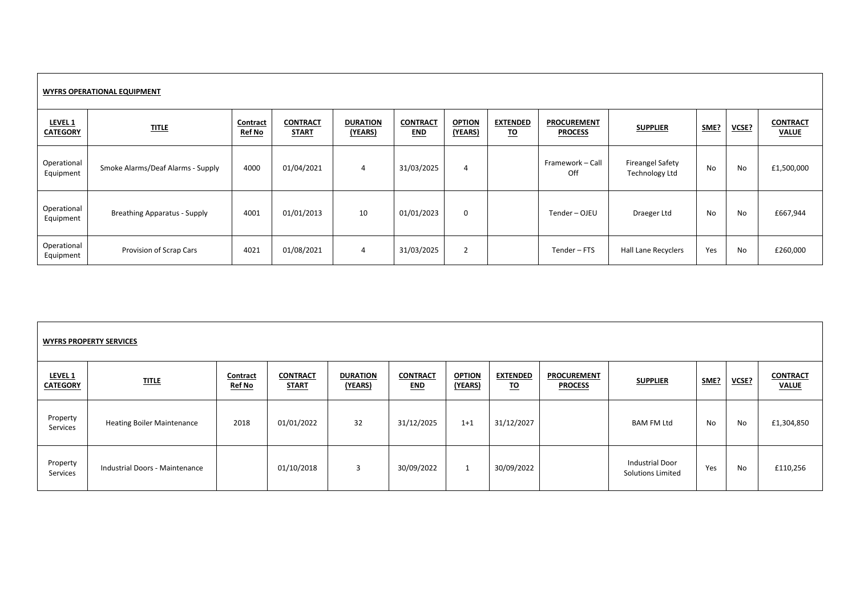|                                       | <b>WYFRS OPERATIONAL EQUIPMENT</b>  |                                  |                                 |                            |                               |                          |                              |                                      |                                                  |           |           |                                 |
|---------------------------------------|-------------------------------------|----------------------------------|---------------------------------|----------------------------|-------------------------------|--------------------------|------------------------------|--------------------------------------|--------------------------------------------------|-----------|-----------|---------------------------------|
| LEVEL <sub>1</sub><br><b>CATEGORY</b> | <b>TITLE</b>                        | <b>Contract</b><br><b>Ref No</b> | <b>CONTRACT</b><br><b>START</b> | <b>DURATION</b><br>(YEARS) | <b>CONTRACT</b><br><b>END</b> | <b>OPTION</b><br>(YEARS) | <b>EXTENDED</b><br><u>TO</u> | <b>PROCUREMENT</b><br><b>PROCESS</b> | <b>SUPPLIER</b>                                  | SME?      | VCSE?     | <b>CONTRACT</b><br><b>VALUE</b> |
| Operational<br>Equipment              | Smoke Alarms/Deaf Alarms - Supply   | 4000                             | 01/04/2021                      | $\overline{4}$             | 31/03/2025                    | 4                        |                              | Framework - Call<br>Off              | <b>Fireangel Safety</b><br><b>Technology Ltd</b> | <b>No</b> | <b>No</b> | £1,500,000                      |
| Operational<br>Equipment              | <b>Breathing Apparatus - Supply</b> | 4001                             | 01/01/2013                      | 10                         | 01/01/2023                    | $\Omega$                 |                              | Tender - OJEU                        | Draeger Ltd                                      | No        | No        | £667,944                        |
| Operational<br>Equipment              | Provision of Scrap Cars             | 4021                             | 01/08/2021                      | 4                          | 31/03/2025                    | $\overline{2}$           |                              | Tender - FTS                         | Hall Lane Recyclers                              | Yes       | No        | £260,000                        |

|                            | <b>WYFRS PROPERTY SERVICES</b>    |                           |                                 |                            |                               |                          |                              |                                      |                                                    |      |       |                                 |
|----------------------------|-----------------------------------|---------------------------|---------------------------------|----------------------------|-------------------------------|--------------------------|------------------------------|--------------------------------------|----------------------------------------------------|------|-------|---------------------------------|
| LEVEL 1<br><b>CATEGORY</b> | <b>TITLE</b>                      | Contract<br><b>Ref No</b> | <b>CONTRACT</b><br><b>START</b> | <b>DURATION</b><br>(YEARS) | <b>CONTRACT</b><br><b>END</b> | <b>OPTION</b><br>(YEARS) | <b>EXTENDED</b><br><u>TO</u> | <b>PROCUREMENT</b><br><b>PROCESS</b> | <b>SUPPLIER</b>                                    | SME? | VCSE? | <b>CONTRACT</b><br><b>VALUE</b> |
| Property<br>Services       | <b>Heating Boiler Maintenance</b> | 2018                      | 01/01/2022                      | 32                         | 31/12/2025                    | $1+1$                    | 31/12/2027                   |                                      | BAM FM Ltd                                         | No   | No    | £1,304,850                      |
| Property<br>Services       | Industrial Doors - Maintenance    |                           | 01/10/2018                      | 3                          | 30/09/2022                    | <b>T</b>                 | 30/09/2022                   |                                      | <b>Industrial Door</b><br><b>Solutions Limited</b> | Yes  | No    | £110,256                        |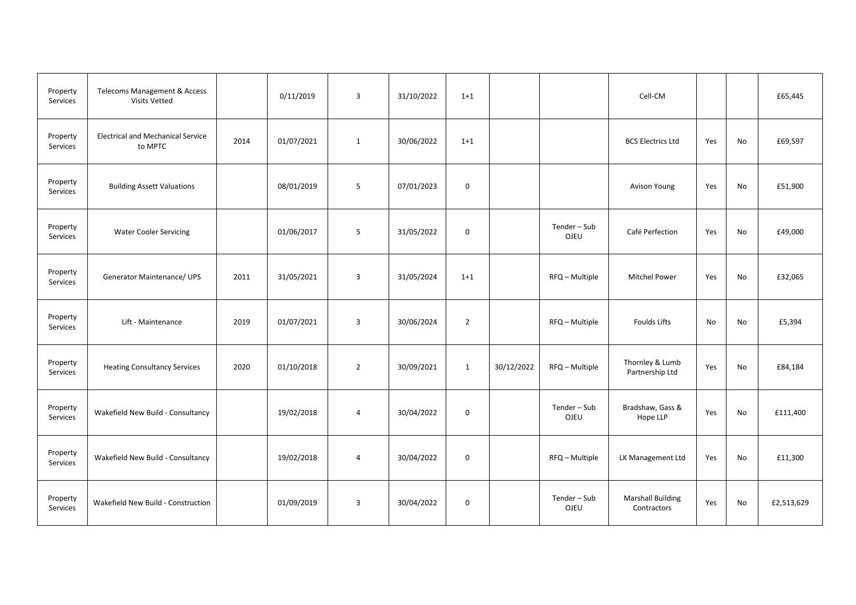| Property<br>Services | Telecoms Management & Access<br><b>Visits Vetted</b> |      | 0/11/2019  | $\overline{3}$ | 31/10/2022 | $1 + 1$        |            |                             | Cell-CM                                 |     |    | £65,445    |
|----------------------|------------------------------------------------------|------|------------|----------------|------------|----------------|------------|-----------------------------|-----------------------------------------|-----|----|------------|
| Property<br>Services | <b>Electrical and Mechanical Service</b><br>to MPTC  | 2014 | 01/07/2021 | $\mathbf{1}$   | 30/06/2022 | $1 + 1$        |            |                             | <b>BCS Electrics Ltd</b>                | Yes | No | £69,597    |
| Property<br>Services | <b>Building Assett Valuations</b>                    |      | 08/01/2019 | 5              | 07/01/2023 | $\mathbf 0$    |            |                             | Avison Young                            | Yes | No | £51,900    |
| Property<br>Services | <b>Water Cooler Servicing</b>                        |      | 01/06/2017 | 5              | 31/05/2022 | $\mathbf 0$    |            | Tender – Sub<br><b>OJEU</b> | Café Perfection                         | Yes | No | £49,000    |
| Property<br>Services | Generator Maintenance/ UPS                           | 2011 | 31/05/2021 | 3              | 31/05/2024 | $1 + 1$        |            | RFQ - Multiple              | <b>Mitchel Power</b>                    | Yes | No | £32,065    |
| Property<br>Services | Lift - Maintenance                                   | 2019 | 01/07/2021 | $\overline{3}$ | 30/06/2024 | $\overline{2}$ |            | RFQ - Multiple              | <b>Foulds Lifts</b>                     | No  | No | £5,394     |
| Property<br>Services | <b>Heating Consultancy Services</b>                  | 2020 | 01/10/2018 | $\overline{2}$ | 30/09/2021 | $\mathbf{1}$   | 30/12/2022 | RFQ - Multiple              | Thornley & Lumb<br>Partnership Ltd      | Yes | No | £84,184    |
| Property<br>Services | Wakefield New Build - Consultancy                    |      | 19/02/2018 | $\overline{4}$ | 30/04/2022 | $\mathbf 0$    |            | Tender-Sub<br>OJEU          | Bradshaw, Gass &<br>Hope LLP            | Yes | No | £111,400   |
| Property<br>Services | Wakefield New Build - Consultancy                    |      | 19/02/2018 | $\overline{4}$ | 30/04/2022 | $\mathbf 0$    |            | RFQ - Multiple              | LK Management Ltd                       | Yes | No | £11,300    |
| Property<br>Services | Wakefield New Build - Construction                   |      | 01/09/2019 | 3              | 30/04/2022 | $\mathbf 0$    |            | Tender-Sub<br>OJEU          | <b>Marshall Building</b><br>Contractors | Yes | No | £2,513,629 |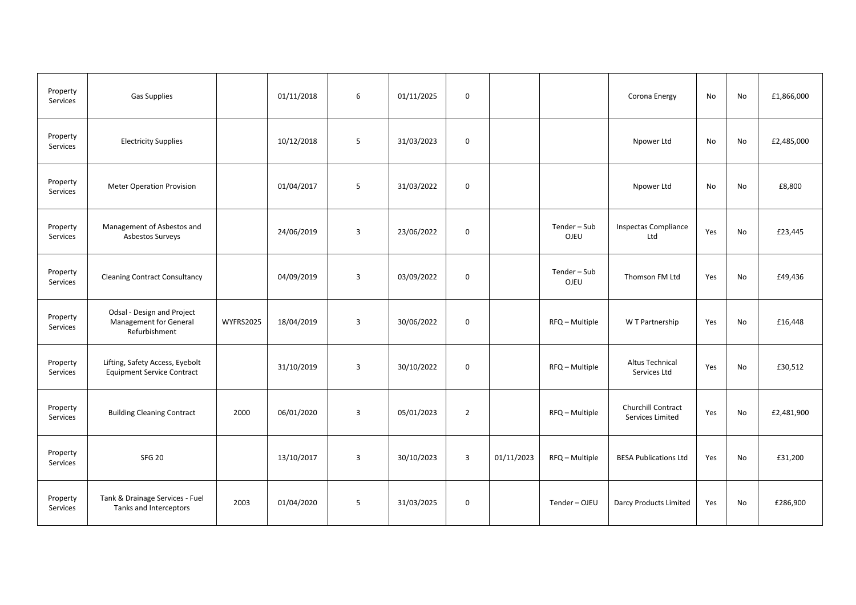| Property<br>Services | <b>Gas Supplies</b>                                                   |                  | 01/11/2018 | 6              | 01/11/2025 | $\mathbf 0$    |            |                    | Corona Energy                          | No  | No | £1,866,000 |
|----------------------|-----------------------------------------------------------------------|------------------|------------|----------------|------------|----------------|------------|--------------------|----------------------------------------|-----|----|------------|
| Property<br>Services | <b>Electricity Supplies</b>                                           |                  | 10/12/2018 | 5              | 31/03/2023 | 0              |            |                    | Npower Ltd                             | No  | No | £2,485,000 |
| Property<br>Services | <b>Meter Operation Provision</b>                                      |                  | 01/04/2017 | 5              | 31/03/2022 | $\mathsf 0$    |            |                    | Npower Ltd                             | No  | No | £8,800     |
| Property<br>Services | Management of Asbestos and<br>Asbestos Surveys                        |                  | 24/06/2019 | $\overline{3}$ | 23/06/2022 | 0              |            | Tender-Sub<br>OJEU | <b>Inspectas Compliance</b><br>Ltd     | Yes | No | £23,445    |
| Property<br>Services | <b>Cleaning Contract Consultancy</b>                                  |                  | 04/09/2019 | $\overline{3}$ | 03/09/2022 | $\mathbf 0$    |            | Tender-Sub<br>OJEU | Thomson FM Ltd                         | Yes | No | £49,436    |
| Property<br>Services | Odsal - Design and Project<br>Management for General<br>Refurbishment | <b>WYFRS2025</b> | 18/04/2019 | 3              | 30/06/2022 | 0              |            | RFQ - Multiple     | W T Partnership                        | Yes | No | £16,448    |
| Property<br>Services | Lifting, Safety Access, Eyebolt<br><b>Equipment Service Contract</b>  |                  | 31/10/2019 | $\overline{3}$ | 30/10/2022 | $\mathbf 0$    |            | RFQ - Multiple     | <b>Altus Technical</b><br>Services Ltd | Yes | No | £30,512    |
| Property<br>Services | <b>Building Cleaning Contract</b>                                     | 2000             | 06/01/2020 | $\overline{3}$ | 05/01/2023 | $\overline{2}$ |            | RFQ - Multiple     | Churchill Contract<br>Services Limited | Yes | No | £2,481,900 |
| Property<br>Services | <b>SFG 20</b>                                                         |                  | 13/10/2017 | $\overline{3}$ | 30/10/2023 | 3              | 01/11/2023 | RFQ - Multiple     | <b>BESA Publications Ltd</b>           | Yes | No | £31,200    |
| Property<br>Services | Tank & Drainage Services - Fuel<br>Tanks and Interceptors             | 2003             | 01/04/2020 | 5              | 31/03/2025 | 0              |            | Tender-OJEU        | Darcy Products Limited                 | Yes | No | £286,900   |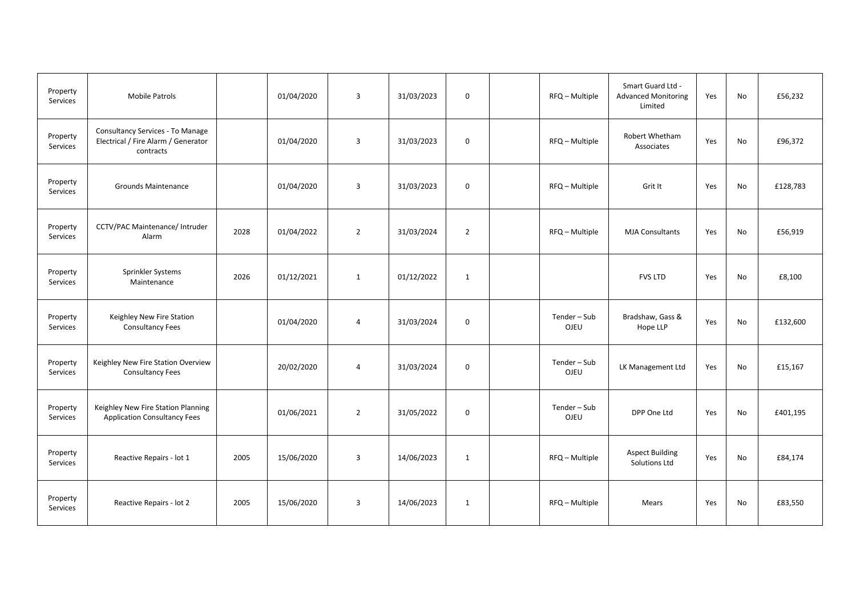| Property<br>Services | <b>Mobile Patrols</b>                                                                |      | 01/04/2020 | $\overline{3}$          | 31/03/2023 | $\mathbf 0$    | RFQ - Multiple     | Smart Guard Ltd -<br><b>Advanced Monitoring</b><br>Limited | Yes | No | £56,232  |
|----------------------|--------------------------------------------------------------------------------------|------|------------|-------------------------|------------|----------------|--------------------|------------------------------------------------------------|-----|----|----------|
| Property<br>Services | Consultancy Services - To Manage<br>Electrical / Fire Alarm / Generator<br>contracts |      | 01/04/2020 | $\overline{3}$          | 31/03/2023 | 0              | RFQ - Multiple     | Robert Whetham<br>Associates                               | Yes | No | £96,372  |
| Property<br>Services | <b>Grounds Maintenance</b>                                                           |      | 01/04/2020 | $\overline{\mathbf{3}}$ | 31/03/2023 | $\mathbf 0$    | RFQ - Multiple     | Grit It                                                    | Yes | No | £128,783 |
| Property<br>Services | CCTV/PAC Maintenance/ Intruder<br>Alarm                                              | 2028 | 01/04/2022 | $\overline{2}$          | 31/03/2024 | $\overline{2}$ | RFQ - Multiple     | <b>MJA Consultants</b>                                     | Yes | No | £56,919  |
| Property<br>Services | Sprinkler Systems<br>Maintenance                                                     | 2026 | 01/12/2021 | $\mathbf{1}$            | 01/12/2022 | $\mathbf{1}$   |                    | <b>FVS LTD</b>                                             | Yes | No | £8,100   |
| Property<br>Services | Keighley New Fire Station<br><b>Consultancy Fees</b>                                 |      | 01/04/2020 | $\overline{4}$          | 31/03/2024 | $\mathbf 0$    | Tender-Sub<br>OJEU | Bradshaw, Gass &<br>Hope LLP                               | Yes | No | £132,600 |
| Property<br>Services | Keighley New Fire Station Overview<br><b>Consultancy Fees</b>                        |      | 20/02/2020 | 4                       | 31/03/2024 | 0              | Tender-Sub<br>OJEU | LK Management Ltd                                          | Yes | No | £15,167  |
| Property<br>Services | Keighley New Fire Station Planning<br><b>Application Consultancy Fees</b>            |      | 01/06/2021 | $\overline{2}$          | 31/05/2022 | $\mathbf 0$    | Tender-Sub<br>OJEU | DPP One Ltd                                                | Yes | No | £401,195 |
| Property<br>Services | Reactive Repairs - lot 1                                                             | 2005 | 15/06/2020 | $\overline{\mathbf{3}}$ | 14/06/2023 | $\mathbf{1}$   | RFQ - Multiple     | <b>Aspect Building</b><br>Solutions Ltd                    | Yes | No | £84,174  |
| Property<br>Services | Reactive Repairs - lot 2                                                             | 2005 | 15/06/2020 | 3                       | 14/06/2023 | $\mathbf{1}$   | RFQ - Multiple     | Mears                                                      | Yes | No | £83,550  |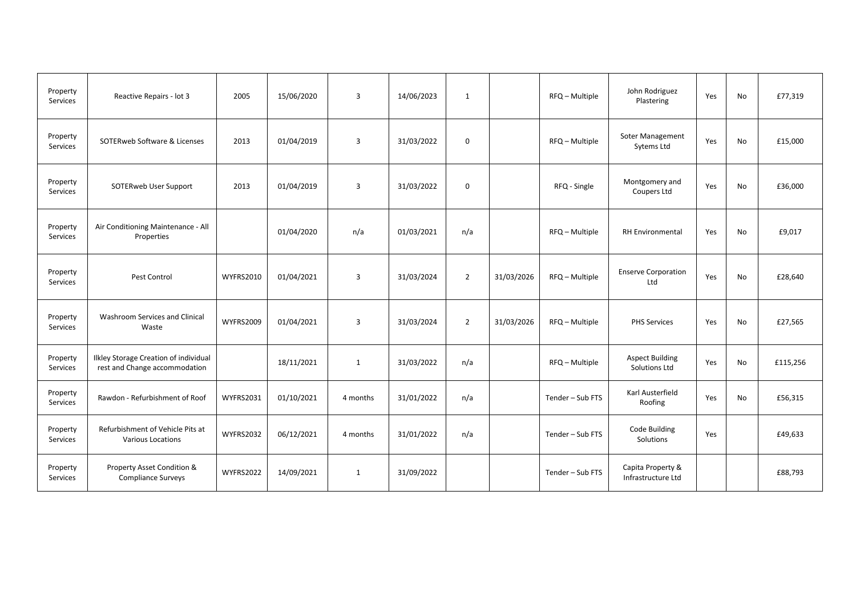| Property<br>Services | Reactive Repairs - lot 3                                               | 2005             | 15/06/2020 | 3            | 14/06/2023 | $\mathbf{1}$   |            | RFQ - Multiple   | John Rodriguez<br>Plastering            | Yes | No | £77,319  |
|----------------------|------------------------------------------------------------------------|------------------|------------|--------------|------------|----------------|------------|------------------|-----------------------------------------|-----|----|----------|
| Property<br>Services | SOTERweb Software & Licenses                                           | 2013             | 01/04/2019 | 3            | 31/03/2022 | 0              |            | RFQ - Multiple   | <b>Soter Management</b><br>Sytems Ltd   | Yes | No | £15,000  |
| Property<br>Services | SOTERweb User Support                                                  | 2013             | 01/04/2019 | 3            | 31/03/2022 | 0              |            | RFQ - Single     | Montgomery and<br>Coupers Ltd           | Yes | No | £36,000  |
| Property<br>Services | Air Conditioning Maintenance - All<br>Properties                       |                  | 01/04/2020 | n/a          | 01/03/2021 | n/a            |            | RFQ - Multiple   | RH Environmental                        | Yes | No | £9,017   |
| Property<br>Services | Pest Control                                                           | <b>WYFRS2010</b> | 01/04/2021 | 3            | 31/03/2024 | $\overline{2}$ | 31/03/2026 | RFQ - Multiple   | <b>Enserve Corporation</b><br>Ltd       | Yes | No | £28,640  |
| Property<br>Services | Washroom Services and Clinical<br>Waste                                | WYFRS2009        | 01/04/2021 | 3            | 31/03/2024 | $\overline{2}$ | 31/03/2026 | RFQ - Multiple   | <b>PHS Services</b>                     | Yes | No | £27,565  |
| Property<br>Services | Ilkley Storage Creation of individual<br>rest and Change accommodation |                  | 18/11/2021 | $\mathbf{1}$ | 31/03/2022 | n/a            |            | RFQ - Multiple   | <b>Aspect Building</b><br>Solutions Ltd | Yes | No | £115,256 |
| Property<br>Services | Rawdon - Refurbishment of Roof                                         | WYFRS2031        | 01/10/2021 | 4 months     | 31/01/2022 | n/a            |            | Tender - Sub FTS | Karl Austerfield<br>Roofing             | Yes | No | £56,315  |
| Property<br>Services | Refurbishment of Vehicle Pits at<br>Various Locations                  | <b>WYFRS2032</b> | 06/12/2021 | 4 months     | 31/01/2022 | n/a            |            | Tender - Sub FTS | Code Building<br>Solutions              | Yes |    | £49,633  |
| Property<br>Services | Property Asset Condition &<br><b>Compliance Surveys</b>                | <b>WYFRS2022</b> | 14/09/2021 | $\mathbf{1}$ | 31/09/2022 |                |            | Tender - Sub FTS | Capita Property &<br>Infrastructure Ltd |     |    | £88,793  |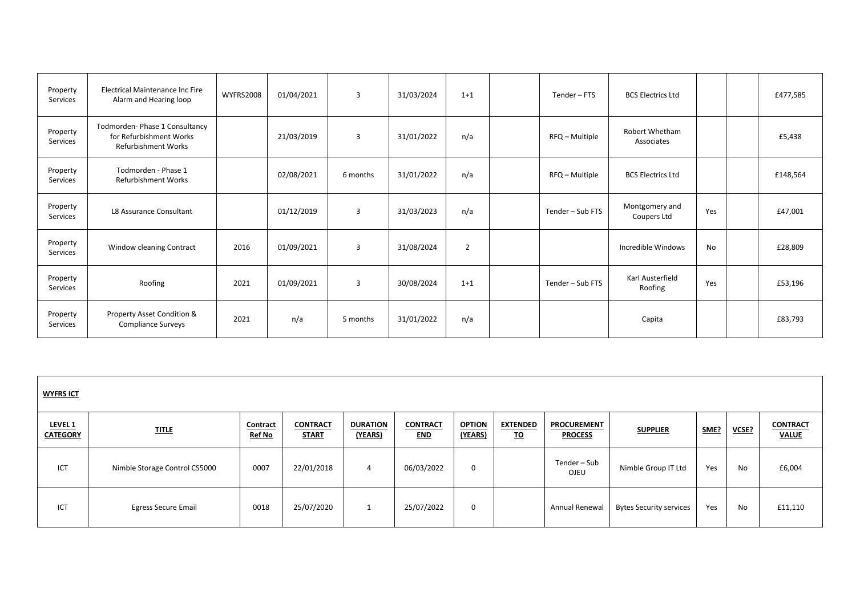| Property<br>Services        | <b>Electrical Maintenance Inc Fire</b><br>Alarm and Hearing loop                        | <b>WYFRS2008</b> | 01/04/2021 | $\overline{3}$ | 31/03/2024 | $1+1$ | Tender - FTS     | <b>BCS Electrics Ltd</b>      |     | £477,585 |
|-----------------------------|-----------------------------------------------------------------------------------------|------------------|------------|----------------|------------|-------|------------------|-------------------------------|-----|----------|
| Property<br><b>Services</b> | Todmorden- Phase 1 Consultancy<br>for Refurbishment Works<br><b>Refurbishment Works</b> |                  | 21/03/2019 | 3              | 31/01/2022 | n/a   | RFQ - Multiple   | Robert Whetham<br>Associates  |     | £5,438   |
| Property<br>Services        | Todmorden - Phase 1<br>Refurbishment Works                                              |                  | 02/08/2021 | 6 months       | 31/01/2022 | n/a   | RFQ - Multiple   | <b>BCS Electrics Ltd</b>      |     | £148,564 |
| Property<br>Services        | L8 Assurance Consultant                                                                 |                  | 01/12/2019 | 3              | 31/03/2023 | n/a   | Tender - Sub FTS | Montgomery and<br>Coupers Ltd | Yes | £47,001  |
| Property<br>Services        | Window cleaning Contract                                                                | 2016             | 01/09/2021 | 3              | 31/08/2024 | 2     |                  | Incredible Windows            | No  | £28,809  |
| Property<br>Services        | Roofing                                                                                 | 2021             | 01/09/2021 | 3              | 30/08/2024 | $1+1$ | Tender - Sub FTS | Karl Austerfield<br>Roofing   | Yes | £53,196  |
| Property<br>Services        | Property Asset Condition &<br><b>Compliance Surveys</b>                                 | 2021             | n/a        | 5 months       | 31/01/2022 | n/a   |                  | Capita                        |     | £83,793  |

| <b>WYFRS ICT</b>           |                               |                           |                                 |                            |                               |                          |                              |                                      |                                |      |       |                                 |
|----------------------------|-------------------------------|---------------------------|---------------------------------|----------------------------|-------------------------------|--------------------------|------------------------------|--------------------------------------|--------------------------------|------|-------|---------------------------------|
| LEVEL 1<br><b>CATEGORY</b> | <b>TITLE</b>                  | Contract<br><b>Ref No</b> | <b>CONTRACT</b><br><b>START</b> | <b>DURATION</b><br>(YEARS) | <b>CONTRACT</b><br><b>END</b> | <b>OPTION</b><br>(YEARS) | <b>EXTENDED</b><br><u>TO</u> | <b>PROCUREMENT</b><br><b>PROCESS</b> | <b>SUPPLIER</b>                | SME? | VCSE? | <b>CONTRACT</b><br><b>VALUE</b> |
| ICT                        | Nimble Storage Control CS5000 | 0007                      | 22/01/2018                      | $\overline{4}$             | 06/03/2022                    | $\mathbf 0$              |                              | Tender – Sub<br><b>OJEU</b>          | Nimble Group IT Ltd            | Yes  | No    | £6,004                          |
| ICT                        | <b>Egress Secure Email</b>    | 0018                      | 25/07/2020                      |                            | 25/07/2022                    | $\mathbf 0$              |                              | Annual Renewal                       | <b>Bytes Security services</b> | Yes  | No    | £11,110                         |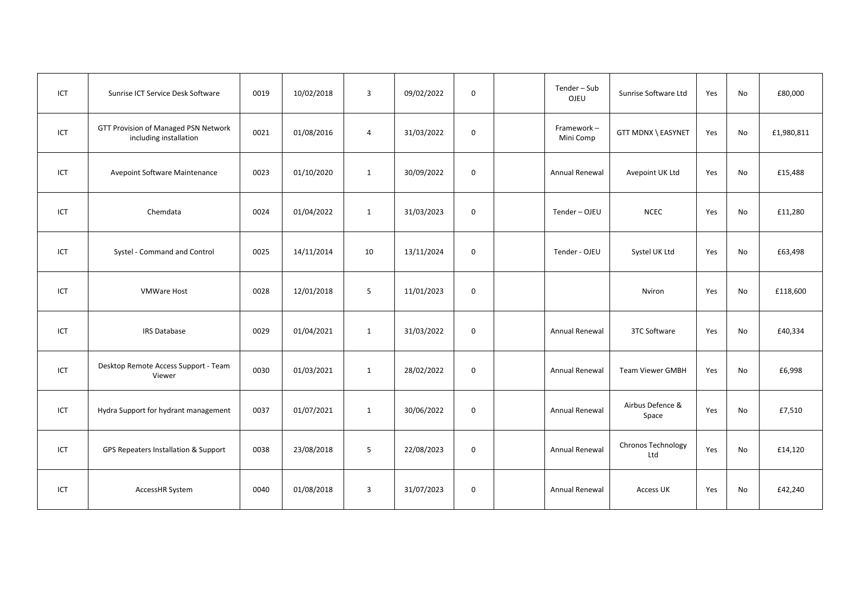| ICT | Sunrise ICT Service Desk Software                              | 0019 | 10/02/2018 | $\overline{3}$ | 09/02/2022 | $\mathbf 0$ | Tender - Sub<br>OJEU    | Sunrise Software Ltd      | Yes | No        | £80,000    |
|-----|----------------------------------------------------------------|------|------------|----------------|------------|-------------|-------------------------|---------------------------|-----|-----------|------------|
| ICT | GTT Provision of Managed PSN Network<br>including installation | 0021 | 01/08/2016 | 4              | 31/03/2022 | $\mathbf 0$ | Framework-<br>Mini Comp | GTT MDNX \ EASYNET        | Yes | No        | £1,980,811 |
| ICT | Avepoint Software Maintenance                                  | 0023 | 01/10/2020 | 1              | 30/09/2022 | $\mathbf 0$ | Annual Renewal          | Avepoint UK Ltd           | Yes | No        | £15,488    |
| ICT | Chemdata                                                       | 0024 | 01/04/2022 | 1              | 31/03/2023 | $\mathbf 0$ | Tender-OJEU             | <b>NCEC</b>               | Yes | No        | £11,280    |
| ICT | Systel - Command and Control                                   | 0025 | 14/11/2014 | 10             | 13/11/2024 | $\mathbf 0$ | Tender - OJEU           | Systel UK Ltd             | Yes | No        | £63,498    |
| ICT | <b>VMWare Host</b>                                             | 0028 | 12/01/2018 | 5              | 11/01/2023 | $\mathbf 0$ |                         | Nviron                    | Yes | No        | £118,600   |
| ICT | <b>IRS Database</b>                                            | 0029 | 01/04/2021 | 1              | 31/03/2022 | $\mathbf 0$ | Annual Renewal          | 3TC Software              | Yes | No        | £40,334    |
| ICT | Desktop Remote Access Support - Team<br>Viewer                 | 0030 | 01/03/2021 | 1              | 28/02/2022 | $\mathbf 0$ | Annual Renewal          | <b>Team Viewer GMBH</b>   | Yes | No        | £6,998     |
| ICT | Hydra Support for hydrant management                           | 0037 | 01/07/2021 | 1              | 30/06/2022 | $\mathbf 0$ | <b>Annual Renewal</b>   | Airbus Defence &<br>Space | Yes | No        | £7,510     |
| ICT | GPS Repeaters Installation & Support                           | 0038 | 23/08/2018 | 5              | 22/08/2023 | $\mathbf 0$ | <b>Annual Renewal</b>   | Chronos Technology<br>Ltd | Yes | <b>No</b> | £14,120    |
| ICT | AccessHR System                                                | 0040 | 01/08/2018 | $\overline{3}$ | 31/07/2023 | $\mathbf 0$ | Annual Renewal          | Access UK                 | Yes | No        | £42,240    |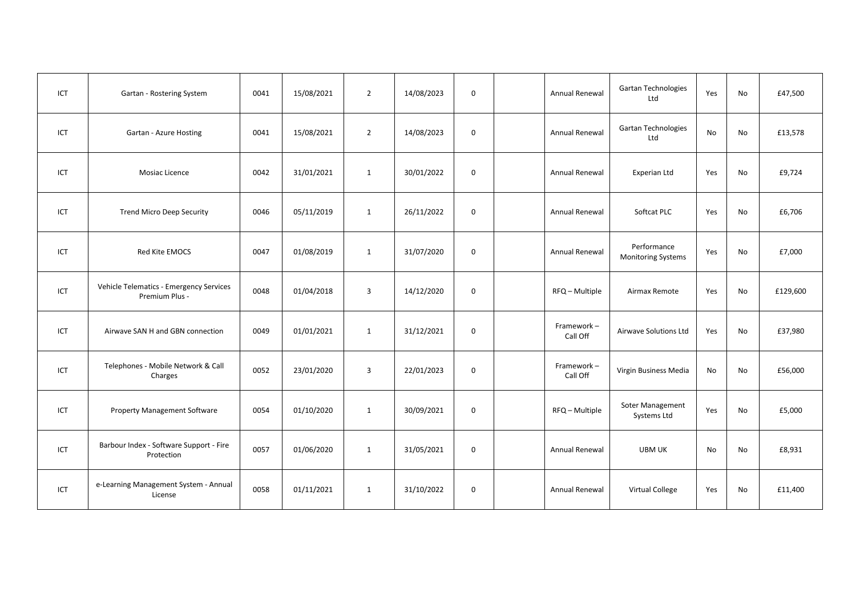| ICT | Gartan - Rostering System                                 | 0041 | 15/08/2021 | $\overline{2}$ | 14/08/2023 | $\mathbf 0$ | Annual Renewal         | Gartan Technologies<br>Ltd               | Yes | No  | £47,500  |
|-----|-----------------------------------------------------------|------|------------|----------------|------------|-------------|------------------------|------------------------------------------|-----|-----|----------|
| ICT | Gartan - Azure Hosting                                    | 0041 | 15/08/2021 | $\overline{2}$ | 14/08/2023 | $\mathbf 0$ | <b>Annual Renewal</b>  | <b>Gartan Technologies</b><br>Ltd        | No  | No  | £13,578  |
| ICT | Mosiac Licence                                            | 0042 | 31/01/2021 | $\mathbf{1}$   | 30/01/2022 | $\mathbf 0$ | Annual Renewal         | Experian Ltd                             | Yes | No  | £9,724   |
| ICT | <b>Trend Micro Deep Security</b>                          | 0046 | 05/11/2019 | $\mathbf{1}$   | 26/11/2022 | $\mathsf 0$ | Annual Renewal         | Softcat PLC                              | Yes | No  | £6,706   |
| ICT | Red Kite EMOCS                                            | 0047 | 01/08/2019 | $\mathbf{1}$   | 31/07/2020 | $\mathbf 0$ | Annual Renewal         | Performance<br><b>Monitoring Systems</b> | Yes | No  | £7,000   |
| ICT | Vehicle Telematics - Emergency Services<br>Premium Plus - | 0048 | 01/04/2018 | $\overline{3}$ | 14/12/2020 | $\mathbf 0$ | RFQ - Multiple         | Airmax Remote                            | Yes | No  | £129,600 |
| ICT | Airwave SAN H and GBN connection                          | 0049 | 01/01/2021 | $\mathbf{1}$   | 31/12/2021 | $\mathbf 0$ | Framework-<br>Call Off | Airwave Solutions Ltd                    | Yes | No  | £37,980  |
| ICT | Telephones - Mobile Network & Call<br>Charges             | 0052 | 23/01/2020 | $\overline{3}$ | 22/01/2023 | $\mathbf 0$ | Framework-<br>Call Off | Virgin Business Media                    | No  | No  | £56,000  |
| ICT | <b>Property Management Software</b>                       | 0054 | 01/10/2020 | $\mathbf{1}$   | 30/09/2021 | 0           | RFQ - Multiple         | Soter Management<br>Systems Ltd          | Yes | No. | £5,000   |
| ICT | Barbour Index - Software Support - Fire<br>Protection     | 0057 | 01/06/2020 | $\mathbf{1}$   | 31/05/2021 | $\mathbf 0$ | Annual Renewal         | UBM UK                                   | No  | No  | £8,931   |
| ICT | e-Learning Management System - Annual<br>License          | 0058 | 01/11/2021 | $\mathbf{1}$   | 31/10/2022 | $\mathsf 0$ | Annual Renewal         | Virtual College                          | Yes | No  | £11,400  |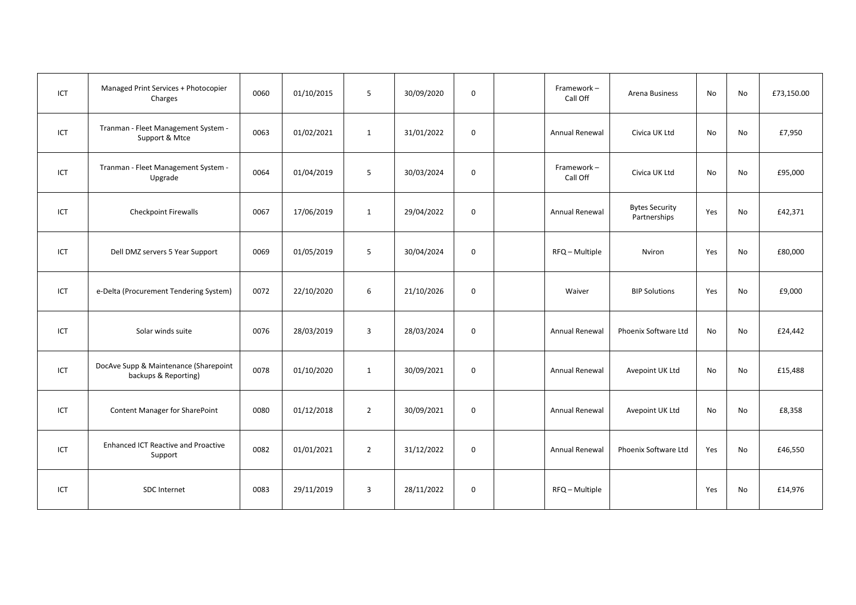| ICT | Managed Print Services + Photocopier<br>Charges               | 0060 | 01/10/2015 | 5              | 30/09/2020 | $\mathsf 0$ | Framework-<br>Call Off | Arena Business                        | No  | No | £73,150.00 |
|-----|---------------------------------------------------------------|------|------------|----------------|------------|-------------|------------------------|---------------------------------------|-----|----|------------|
| ICT | Tranman - Fleet Management System -<br>Support & Mtce         | 0063 | 01/02/2021 | 1              | 31/01/2022 | 0           | Annual Renewal         | Civica UK Ltd                         | No  | No | £7,950     |
| ICT | Tranman - Fleet Management System -<br>Upgrade                | 0064 | 01/04/2019 | 5              | 30/03/2024 | $\mathbf 0$ | Framework-<br>Call Off | Civica UK Ltd                         | No  | No | £95,000    |
| ICT | <b>Checkpoint Firewalls</b>                                   | 0067 | 17/06/2019 | 1              | 29/04/2022 | $\mathbf 0$ | <b>Annual Renewal</b>  | <b>Bytes Security</b><br>Partnerships | Yes | No | £42,371    |
| ICT | Dell DMZ servers 5 Year Support                               | 0069 | 01/05/2019 | 5              | 30/04/2024 | $\mathbf 0$ | RFQ - Multiple         | Nviron                                | Yes | No | £80,000    |
| ICT | e-Delta (Procurement Tendering System)                        | 0072 | 22/10/2020 | 6              | 21/10/2026 | $\mathbf 0$ | Waiver                 | <b>BIP Solutions</b>                  | Yes | No | £9,000     |
| ICT | Solar winds suite                                             | 0076 | 28/03/2019 | 3              | 28/03/2024 | 0           | Annual Renewal         | Phoenix Software Ltd                  | No  | No | £24,442    |
| ICT | DocAve Supp & Maintenance (Sharepoint<br>backups & Reporting) | 0078 | 01/10/2020 | 1              | 30/09/2021 | $\mathbf 0$ | Annual Renewal         | Avepoint UK Ltd                       | No  | No | £15,488    |
| ICT | Content Manager for SharePoint                                | 0080 | 01/12/2018 | $\overline{2}$ | 30/09/2021 | $\mathbf 0$ | <b>Annual Renewal</b>  | Avepoint UK Ltd                       | No  | No | £8,358     |
| ICT | <b>Enhanced ICT Reactive and Proactive</b><br>Support         | 0082 | 01/01/2021 | $\overline{2}$ | 31/12/2022 | $\mathbf 0$ | Annual Renewal         | Phoenix Software Ltd                  | Yes | No | £46,550    |
| ICT | SDC Internet                                                  | 0083 | 29/11/2019 | $\overline{3}$ | 28/11/2022 | $\mathsf 0$ | RFQ - Multiple         |                                       | Yes | No | £14,976    |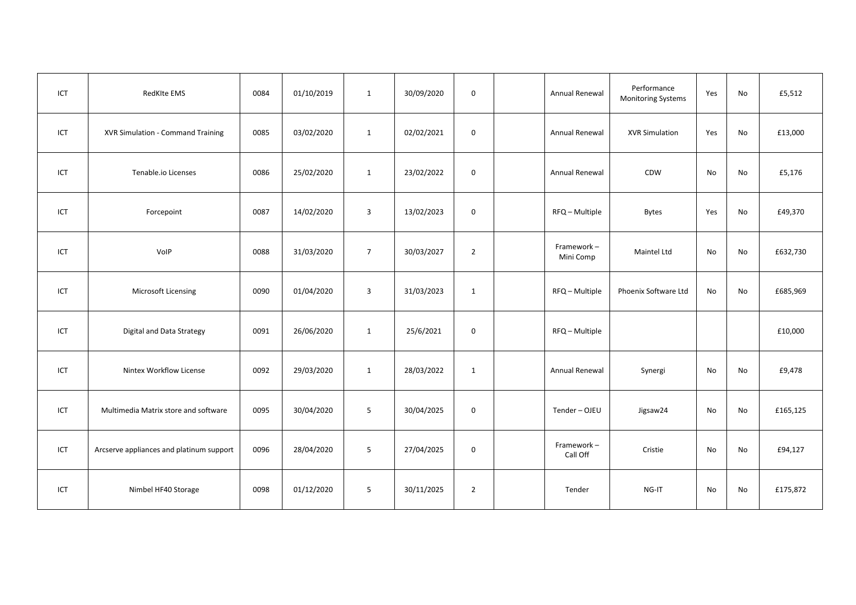| ICT | RedKIte EMS                              | 0084 | 01/10/2019 | 1              | 30/09/2020 | $\mathsf 0$    | Annual Renewal          | Performance<br><b>Monitoring Systems</b> | Yes | No | £5,512   |
|-----|------------------------------------------|------|------------|----------------|------------|----------------|-------------------------|------------------------------------------|-----|----|----------|
| ICT | XVR Simulation - Command Training        | 0085 | 03/02/2020 | 1              | 02/02/2021 | $\mathsf{o}$   | Annual Renewal          | <b>XVR Simulation</b>                    | Yes | No | £13,000  |
| ICT | Tenable.io Licenses                      | 0086 | 25/02/2020 | 1              | 23/02/2022 | $\mathbf 0$    | Annual Renewal          | CDW                                      | No  | No | £5,176   |
| ICT | Forcepoint                               | 0087 | 14/02/2020 | $\overline{3}$ | 13/02/2023 | $\mathbf 0$    | RFQ - Multiple          | <b>Bytes</b>                             | Yes | No | £49,370  |
| ICT | VolP                                     | 0088 | 31/03/2020 | $\overline{7}$ | 30/03/2027 | $\overline{2}$ | Framework-<br>Mini Comp | Maintel Ltd                              | No  | No | £632,730 |
| ICT | Microsoft Licensing                      | 0090 | 01/04/2020 | 3              | 31/03/2023 | $\mathbf{1}$   | RFQ - Multiple          | Phoenix Software Ltd                     | No  | No | £685,969 |
| ICT | Digital and Data Strategy                | 0091 | 26/06/2020 | 1              | 25/6/2021  | $\mathbf 0$    | RFQ - Multiple          |                                          |     |    | £10,000  |
| ICT | Nintex Workflow License                  | 0092 | 29/03/2020 | 1              | 28/03/2022 | 1              | Annual Renewal          | Synergi                                  | No  | No | £9,478   |
| ICT | Multimedia Matrix store and software     | 0095 | 30/04/2020 | 5              | 30/04/2025 | $\mathsf{o}$   | Tender-OJEU             | Jigsaw24                                 | No  | No | £165,125 |
| ICT | Arcserve appliances and platinum support | 0096 | 28/04/2020 | 5              | 27/04/2025 | $\mathbf 0$    | Framework-<br>Call Off  | Cristie                                  | No  | No | £94,127  |
| ICT | Nimbel HF40 Storage                      | 0098 | 01/12/2020 | 5              | 30/11/2025 | $\overline{2}$ | Tender                  | NG-IT                                    | No  | No | £175,872 |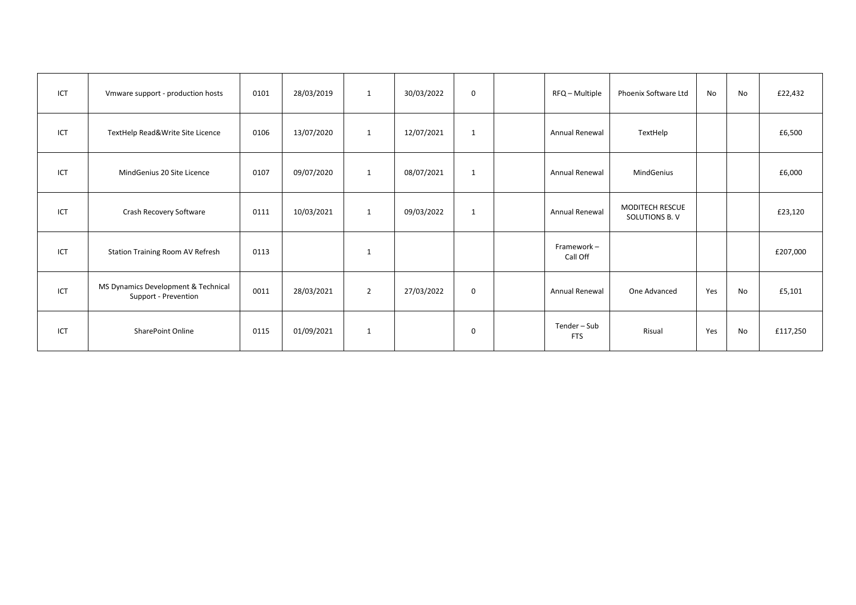| ICT | Vmware support - production hosts                           | 0101 | 28/03/2019 | 1              | 30/03/2022 | $\mathbf 0$ | RFQ - Multiple             | Phoenix Software Ltd                    | No  | No | £22,432  |
|-----|-------------------------------------------------------------|------|------------|----------------|------------|-------------|----------------------------|-----------------------------------------|-----|----|----------|
| ICT | TextHelp Read&Write Site Licence                            | 0106 | 13/07/2020 | 1              | 12/07/2021 | 1           | <b>Annual Renewal</b>      | TextHelp                                |     |    | £6,500   |
| ICT | MindGenius 20 Site Licence                                  | 0107 | 09/07/2020 | 1              | 08/07/2021 | 1           | Annual Renewal             | MindGenius                              |     |    | £6,000   |
| ICT | Crash Recovery Software                                     | 0111 | 10/03/2021 | 1              | 09/03/2022 | 1           | Annual Renewal             | <b>MODITECH RESCUE</b><br>SOLUTIONS B.V |     |    | £23,120  |
| ICT | Station Training Room AV Refresh                            | 0113 |            | $\mathbf{1}$   |            |             | Framework-<br>Call Off     |                                         |     |    | £207,000 |
| ICT | MS Dynamics Development & Technical<br>Support - Prevention | 0011 | 28/03/2021 | $\overline{2}$ | 27/03/2022 | $\mathbf 0$ | <b>Annual Renewal</b>      | One Advanced                            | Yes | No | £5,101   |
| ICT | <b>SharePoint Online</b>                                    | 0115 | 01/09/2021 | $\mathbf{1}$   |            | 0           | Tender - Sub<br><b>FTS</b> | Risual                                  | Yes | No | £117,250 |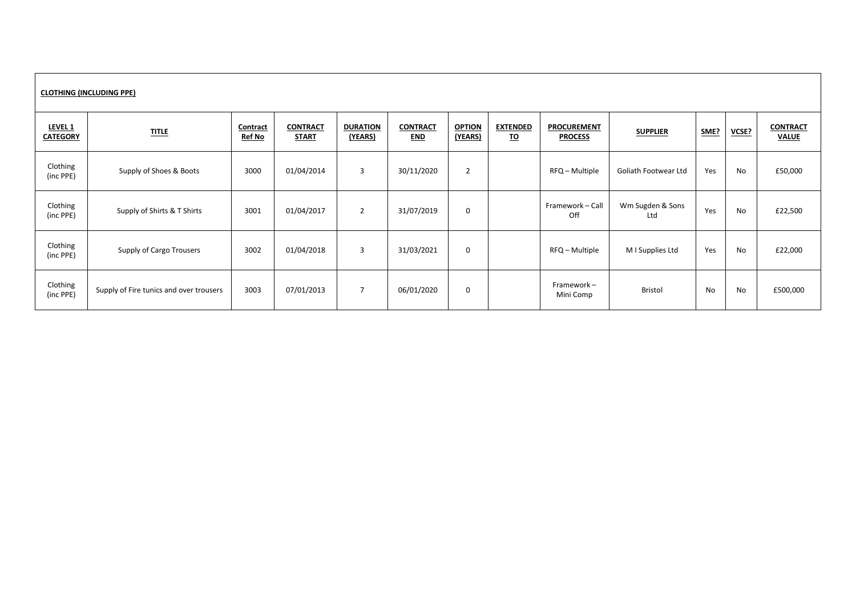| <b>CLOTHING (INCLUDING PPE)</b> |                                         |                                  |                                 |                            |                               |                          |                              |                                      |                         |      |       |                                 |  |
|---------------------------------|-----------------------------------------|----------------------------------|---------------------------------|----------------------------|-------------------------------|--------------------------|------------------------------|--------------------------------------|-------------------------|------|-------|---------------------------------|--|
| LEVEL 1<br><b>CATEGORY</b>      | <b>TITLE</b>                            | <b>Contract</b><br><b>Ref No</b> | <b>CONTRACT</b><br><b>START</b> | <b>DURATION</b><br>(YEARS) | <b>CONTRACT</b><br><u>END</u> | <b>OPTION</b><br>(YEARS) | <b>EXTENDED</b><br><u>TO</u> | <b>PROCUREMENT</b><br><b>PROCESS</b> | <b>SUPPLIER</b>         | SME? | VCSE? | <b>CONTRACT</b><br><b>VALUE</b> |  |
| Clothing<br>(inc PPE)           | Supply of Shoes & Boots                 | 3000                             | 01/04/2014                      | 3                          | 30/11/2020                    | $\overline{2}$           |                              | RFQ - Multiple                       | Goliath Footwear Ltd    | Yes  | No    | £50,000                         |  |
| Clothing<br>(inc PPE)           | Supply of Shirts & T Shirts             | 3001                             | 01/04/2017                      | $\overline{2}$             | 31/07/2019                    | 0                        |                              | Framework - Call<br>Off              | Wm Sugden & Sons<br>Ltd | Yes  | No    | £22,500                         |  |
| Clothing<br>(inc PPE)           | Supply of Cargo Trousers                | 3002                             | 01/04/2018                      | 3                          | 31/03/2021                    | $\mathbf 0$              |                              | RFQ - Multiple                       | M I Supplies Ltd        | Yes  | No    | £22,000                         |  |
| Clothing<br>(inc PPE)           | Supply of Fire tunics and over trousers | 3003                             | 07/01/2013                      | $\overline{7}$             | 06/01/2020                    | 0                        |                              | Framework-<br>Mini Comp              | Bristol                 | No   | No    | £500,000                        |  |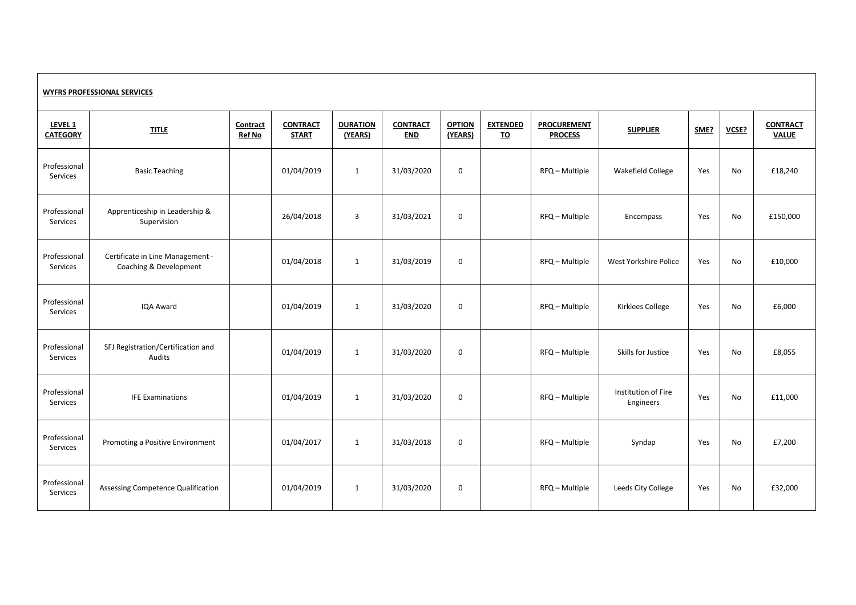| <b>WYFRS PROFESSIONAL SERVICES</b>    |                                                            |                           |                                 |                            |                               |                          |                       |                                      |                                  |      |       |                                 |
|---------------------------------------|------------------------------------------------------------|---------------------------|---------------------------------|----------------------------|-------------------------------|--------------------------|-----------------------|--------------------------------------|----------------------------------|------|-------|---------------------------------|
| LEVEL <sub>1</sub><br><b>CATEGORY</b> | <b>TITLE</b>                                               | Contract<br><b>Ref No</b> | <b>CONTRACT</b><br><b>START</b> | <b>DURATION</b><br>(YEARS) | <b>CONTRACT</b><br><b>END</b> | <b>OPTION</b><br>(YEARS) | <b>EXTENDED</b><br>TO | <b>PROCUREMENT</b><br><b>PROCESS</b> | <b>SUPPLIER</b>                  | SME? | VCSE? | <b>CONTRACT</b><br><b>VALUE</b> |
| Professional<br>Services              | <b>Basic Teaching</b>                                      |                           | 01/04/2019                      | $\mathbf{1}$               | 31/03/2020                    | $\mathbf 0$              |                       | RFQ - Multiple                       | Wakefield College                | Yes  | No    | £18,240                         |
| Professional<br>Services              | Apprenticeship in Leadership &<br>Supervision              |                           | 26/04/2018                      | $\overline{\mathbf{3}}$    | 31/03/2021                    | $\mathsf 0$              |                       | RFQ - Multiple                       | Encompass                        | Yes  | No    | £150,000                        |
| Professional<br>Services              | Certificate in Line Management -<br>Coaching & Development |                           | 01/04/2018                      | 1                          | 31/03/2019                    | 0                        |                       | RFQ - Multiple                       | West Yorkshire Police            | Yes  | No    | £10,000                         |
| Professional<br>Services              | IQA Award                                                  |                           | 01/04/2019                      | 1                          | 31/03/2020                    | $\mathbf 0$              |                       | RFQ - Multiple                       | Kirklees College                 | Yes  | No    | £6,000                          |
| Professional<br>Services              | SFJ Registration/Certification and<br>Audits               |                           | 01/04/2019                      | 1                          | 31/03/2020                    | $\mathbf 0$              |                       | RFQ - Multiple                       | Skills for Justice               | Yes  | No    | £8,055                          |
| Professional<br>Services              | <b>IFE Examinations</b>                                    |                           | 01/04/2019                      | $\mathbf{1}$               | 31/03/2020                    | $\mathbf 0$              |                       | RFQ - Multiple                       | Institution of Fire<br>Engineers | Yes  | No    | £11,000                         |
| Professional<br>Services              | Promoting a Positive Environment                           |                           | 01/04/2017                      | $\mathbf{1}$               | 31/03/2018                    | $\mathbf 0$              |                       | RFQ - Multiple                       | Syndap                           | Yes  | No    | £7,200                          |
| Professional<br>Services              | Assessing Competence Qualification                         |                           | 01/04/2019                      | $\mathbf{1}$               | 31/03/2020                    | $\mathbf 0$              |                       | RFQ - Multiple                       | Leeds City College               | Yes  | No    | £32,000                         |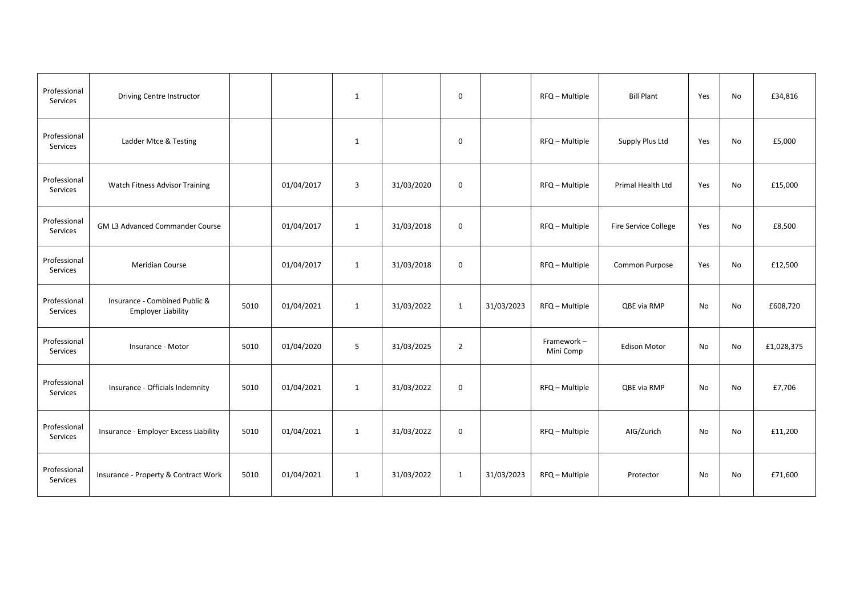| Professional<br>Services | Driving Centre Instructor                                  |      |            | $\mathbf{1}$   |            | $\mathbf 0$    |            | RFQ - Multiple          | <b>Bill Plant</b>    | Yes | No | £34,816    |
|--------------------------|------------------------------------------------------------|------|------------|----------------|------------|----------------|------------|-------------------------|----------------------|-----|----|------------|
| Professional<br>Services | Ladder Mtce & Testing                                      |      |            | 1              |            | 0              |            | RFQ - Multiple          | Supply Plus Ltd      | Yes | No | £5,000     |
| Professional<br>Services | <b>Watch Fitness Advisor Training</b>                      |      | 01/04/2017 | $\overline{3}$ | 31/03/2020 | 0              |            | RFQ - Multiple          | Primal Health Ltd    | Yes | No | £15,000    |
| Professional<br>Services | GM L3 Advanced Commander Course                            |      | 01/04/2017 | 1              | 31/03/2018 | $\mathbf 0$    |            | RFQ - Multiple          | Fire Service College | Yes | No | £8,500     |
| Professional<br>Services | Meridian Course                                            |      | 01/04/2017 | 1              | 31/03/2018 | 0              |            | RFQ - Multiple          | Common Purpose       | Yes | No | £12,500    |
| Professional<br>Services | Insurance - Combined Public &<br><b>Employer Liability</b> | 5010 | 01/04/2021 | $\mathbf{1}$   | 31/03/2022 | $\mathbf{1}$   | 31/03/2023 | RFQ - Multiple          | QBE via RMP          | No  | No | £608,720   |
| Professional<br>Services | Insurance - Motor                                          | 5010 | 01/04/2020 | 5              | 31/03/2025 | $\overline{2}$ |            | Framework-<br>Mini Comp | <b>Edison Motor</b>  | No  | No | £1,028,375 |
| Professional<br>Services | Insurance - Officials Indemnity                            | 5010 | 01/04/2021 | $\mathbf{1}$   | 31/03/2022 | $\mathbf 0$    |            | RFQ - Multiple          | QBE via RMP          | No  | No | £7,706     |
| Professional<br>Services | Insurance - Employer Excess Liability                      | 5010 | 01/04/2021 | $\mathbf{1}$   | 31/03/2022 | 0              |            | RFQ - Multiple          | AIG/Zurich           | No  | No | £11,200    |
| Professional<br>Services | Insurance - Property & Contract Work                       | 5010 | 01/04/2021 | 1              | 31/03/2022 | $\mathbf{1}$   | 31/03/2023 | RFQ - Multiple          | Protector            | No  | No | £71,600    |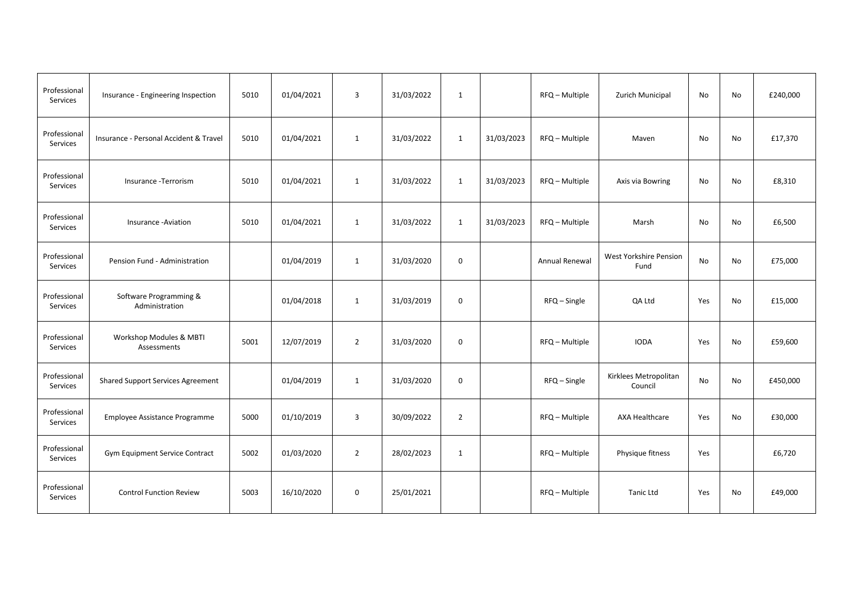| Professional<br>Services | Insurance - Engineering Inspection       | 5010 | 01/04/2021 | 3                       | 31/03/2022 | $\mathbf{1}$   |            | RFQ - Multiple | Zurich Municipal                 | No  | <b>No</b> | £240,000 |
|--------------------------|------------------------------------------|------|------------|-------------------------|------------|----------------|------------|----------------|----------------------------------|-----|-----------|----------|
| Professional<br>Services | Insurance - Personal Accident & Travel   | 5010 | 01/04/2021 | $\mathbf{1}$            | 31/03/2022 | 1              | 31/03/2023 | RFQ - Multiple | Maven                            | No  | No        | £17,370  |
| Professional<br>Services | Insurance - Terrorism                    | 5010 | 01/04/2021 | $\mathbf{1}$            | 31/03/2022 | $\mathbf{1}$   | 31/03/2023 | RFQ - Multiple | Axis via Bowring                 | No  | No        | £8,310   |
| Professional<br>Services | Insurance - Aviation                     | 5010 | 01/04/2021 | 1                       | 31/03/2022 | $\mathbf{1}$   | 31/03/2023 | RFQ - Multiple | Marsh                            | No  | No        | £6,500   |
| Professional<br>Services | Pension Fund - Administration            |      | 01/04/2019 | $\mathbf{1}$            | 31/03/2020 | $\mathsf 0$    |            | Annual Renewal | West Yorkshire Pension<br>Fund   | No  | No        | £75,000  |
| Professional<br>Services | Software Programming &<br>Administration |      | 01/04/2018 | 1                       | 31/03/2019 | 0              |            | RFQ - Single   | QA Ltd                           | Yes | No        | £15,000  |
| Professional<br>Services | Workshop Modules & MBTI<br>Assessments   | 5001 | 12/07/2019 | $\overline{2}$          | 31/03/2020 | $\mathbf 0$    |            | RFQ - Multiple | <b>IODA</b>                      | Yes | <b>No</b> | £59,600  |
| Professional<br>Services | <b>Shared Support Services Agreement</b> |      | 01/04/2019 | 1                       | 31/03/2020 | 0              |            | RFQ - Single   | Kirklees Metropolitan<br>Council | No  | No        | £450,000 |
| Professional<br>Services | Employee Assistance Programme            | 5000 | 01/10/2019 | $\overline{\mathbf{3}}$ | 30/09/2022 | $\overline{2}$ |            | RFQ - Multiple | <b>AXA Healthcare</b>            | Yes | No        | £30,000  |
| Professional<br>Services | Gym Equipment Service Contract           | 5002 | 01/03/2020 | $\overline{2}$          | 28/02/2023 | $\mathbf{1}$   |            | RFQ - Multiple | Physique fitness                 | Yes |           | £6,720   |
| Professional<br>Services | <b>Control Function Review</b>           | 5003 | 16/10/2020 | $\mathbf 0$             | 25/01/2021 |                |            | RFQ - Multiple | <b>Tanic Ltd</b>                 | Yes | No        | £49,000  |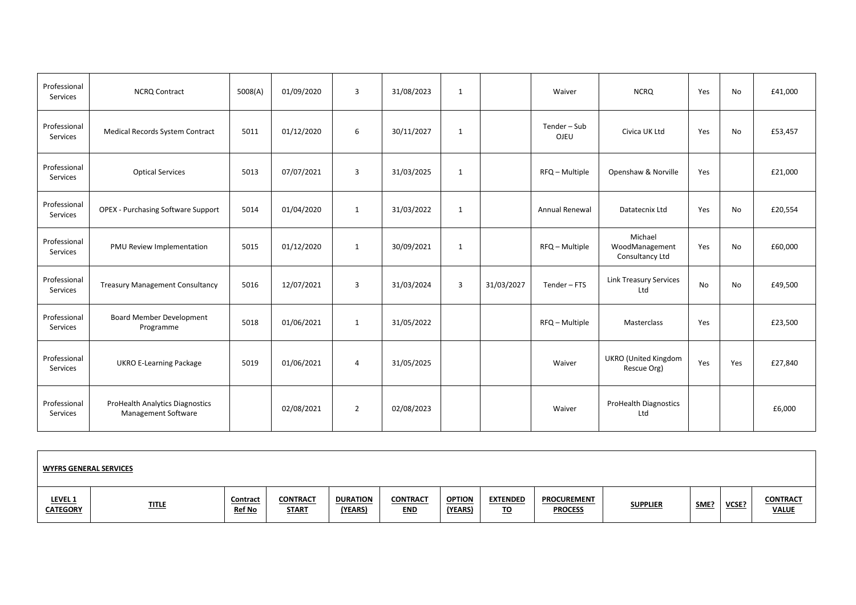| Professional<br>Services | <b>NCRQ Contract</b>                                                 | 5008(A) | 01/09/2020 | 3              | 31/08/2023 | 1            |            | Waiver                | <b>NCRQ</b>                                  | Yes       | No        | £41,000 |
|--------------------------|----------------------------------------------------------------------|---------|------------|----------------|------------|--------------|------------|-----------------------|----------------------------------------------|-----------|-----------|---------|
| Professional<br>Services | Medical Records System Contract                                      | 5011    | 01/12/2020 | 6              | 30/11/2027 | 1            |            | Tender - Sub<br>OJEU  | Civica UK Ltd                                | Yes       | No        | £53,457 |
| Professional<br>Services | <b>Optical Services</b>                                              | 5013    | 07/07/2021 | 3              | 31/03/2025 | $\mathbf{1}$ |            | RFQ - Multiple        | Openshaw & Norville                          | Yes       |           | £21,000 |
| Professional<br>Services | <b>OPEX - Purchasing Software Support</b>                            | 5014    | 01/04/2020 | $\mathbf{1}$   | 31/03/2022 | $\mathbf{1}$ |            | <b>Annual Renewal</b> | Datatecnix Ltd                               | Yes       | <b>No</b> | £20,554 |
| Professional<br>Services | PMU Review Implementation                                            | 5015    | 01/12/2020 | 1              | 30/09/2021 | $\mathbf{1}$ |            | RFQ - Multiple        | Michael<br>WoodManagement<br>Consultancy Ltd | Yes       | No        | £60,000 |
| Professional<br>Services | <b>Treasury Management Consultancy</b>                               | 5016    | 12/07/2021 | 3              | 31/03/2024 | 3            | 31/03/2027 | Tender - FTS          | <b>Link Treasury Services</b><br>Ltd         | <b>No</b> | No        | £49,500 |
| Professional<br>Services | Board Member Development<br>Programme                                | 5018    | 01/06/2021 | 1              | 31/05/2022 |              |            | RFQ - Multiple        | Masterclass                                  | Yes       |           | £23,500 |
| Professional<br>Services | <b>UKRO E-Learning Package</b>                                       | 5019    | 01/06/2021 | $\overline{4}$ | 31/05/2025 |              |            | Waiver                | <b>UKRO</b> (United Kingdom<br>Rescue Org)   | Yes       | Yes       | £27,840 |
| Professional<br>Services | <b>ProHealth Analytics Diagnostics</b><br><b>Management Software</b> |         | 02/08/2021 | $\overline{2}$ | 02/08/2023 |              |            | Waiver                | <b>ProHealth Diagnostics</b><br>Ltd          |           |           | £6,000  |

| <b>WYFRS GENERAL SERVICES</b>     |              |                           |                                 |                            |                               |                          |                              |                                      |                 |      |       |                                 |
|-----------------------------------|--------------|---------------------------|---------------------------------|----------------------------|-------------------------------|--------------------------|------------------------------|--------------------------------------|-----------------|------|-------|---------------------------------|
| <b>LEVEL 1</b><br><b>CATEGORY</b> | <b>TITLE</b> | Contract<br><b>Ref No</b> | <b>CONTRACT</b><br><b>START</b> | <b>DURATION</b><br>(YEARS) | <b>CONTRACT</b><br><b>END</b> | <b>OPTION</b><br>(YEARS) | <b>EXTENDED</b><br><u>TO</u> | <b>PROCUREMENT</b><br><b>PROCESS</b> | <b>SUPPLIER</b> | SME? | VCSE? | <b>CONTRACT</b><br><b>VALUE</b> |